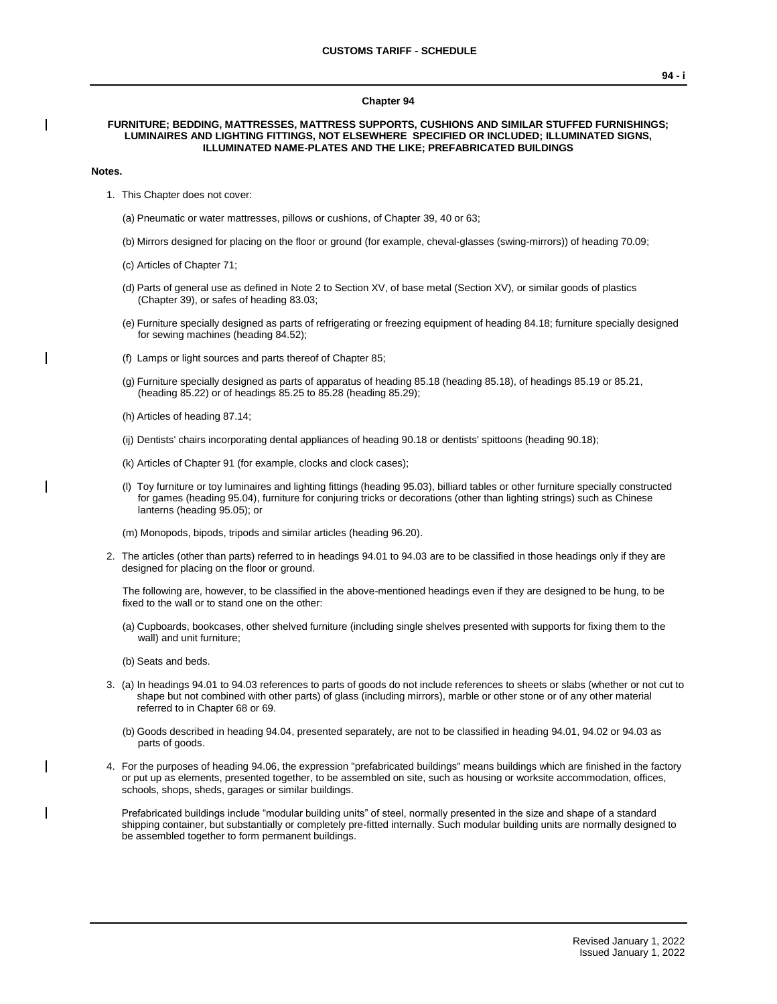#### **Chapter 94**

### **FURNITURE; BEDDING, MATTRESSES, MATTRESS SUPPORTS, CUSHIONS AND SIMILAR STUFFED FURNISHINGS; LUMINAIRES AND LIGHTING FITTINGS, NOT ELSEWHERE SPECIFIED OR INCLUDED; ILLUMINATED SIGNS, ILLUMINATED NAME-PLATES AND THE LIKE; PREFABRICATED BUILDINGS**

#### **Notes.**

- 1. This Chapter does not cover:
	- (a) Pneumatic or water mattresses, pillows or cushions, of Chapter 39, 40 or 63;
	- (b) Mirrors designed for placing on the floor or ground (for example, cheval-glasses (swing-mirrors)) of heading 70.09;
	- (c) Articles of Chapter 71;
	- (d) Parts of general use as defined in Note 2 to Section XV, of base metal (Section XV), or similar goods of plastics (Chapter 39), or safes of heading 83.03;
	- (e) Furniture specially designed as parts of refrigerating or freezing equipment of heading 84.18; furniture specially designed for sewing machines (heading 84.52);
	- (f) Lamps or light sources and parts thereof of Chapter 85;
	- (g) Furniture specially designed as parts of apparatus of heading 85.18 (heading 85.18), of headings 85.19 or 85.21, (heading 85.22) or of headings 85.25 to 85.28 (heading 85.29);
	- (h) Articles of heading 87.14;
	- (ij) Dentists' chairs incorporating dental appliances of heading 90.18 or dentists' spittoons (heading 90.18);
	- (k) Articles of Chapter 91 (for example, clocks and clock cases);
	- (l) Toy furniture or toy luminaires and lighting fittings (heading 95.03), billiard tables or other furniture specially constructed for games (heading 95.04), furniture for conjuring tricks or decorations (other than lighting strings) such as Chinese lanterns (heading 95.05); or
	- (m) Monopods, bipods, tripods and similar articles (heading 96.20).
- 2. The articles (other than parts) referred to in headings 94.01 to 94.03 are to be classified in those headings only if they are designed for placing on the floor or ground.

The following are, however, to be classified in the above-mentioned headings even if they are designed to be hung, to be fixed to the wall or to stand one on the other:

- (a) Cupboards, bookcases, other shelved furniture (including single shelves presented with supports for fixing them to the wall) and unit furniture;
- (b) Seats and beds.
- 3. (a) In headings 94.01 to 94.03 references to parts of goods do not include references to sheets or slabs (whether or not cut to shape but not combined with other parts) of glass (including mirrors), marble or other stone or of any other material referred to in Chapter 68 or 69.
	- (b) Goods described in heading 94.04, presented separately, are not to be classified in heading 94.01, 94.02 or 94.03 as parts of goods.
- 4. For the purposes of heading 94.06, the expression "prefabricated buildings" means buildings which are finished in the factory or put up as elements, presented together, to be assembled on site, such as housing or worksite accommodation, offices, schools, shops, sheds, garages or similar buildings.

Prefabricated buildings include "modular building units" of steel, normally presented in the size and shape of a standard shipping container, but substantially or completely pre-fitted internally. Such modular building units are normally designed to be assembled together to form permanent buildings.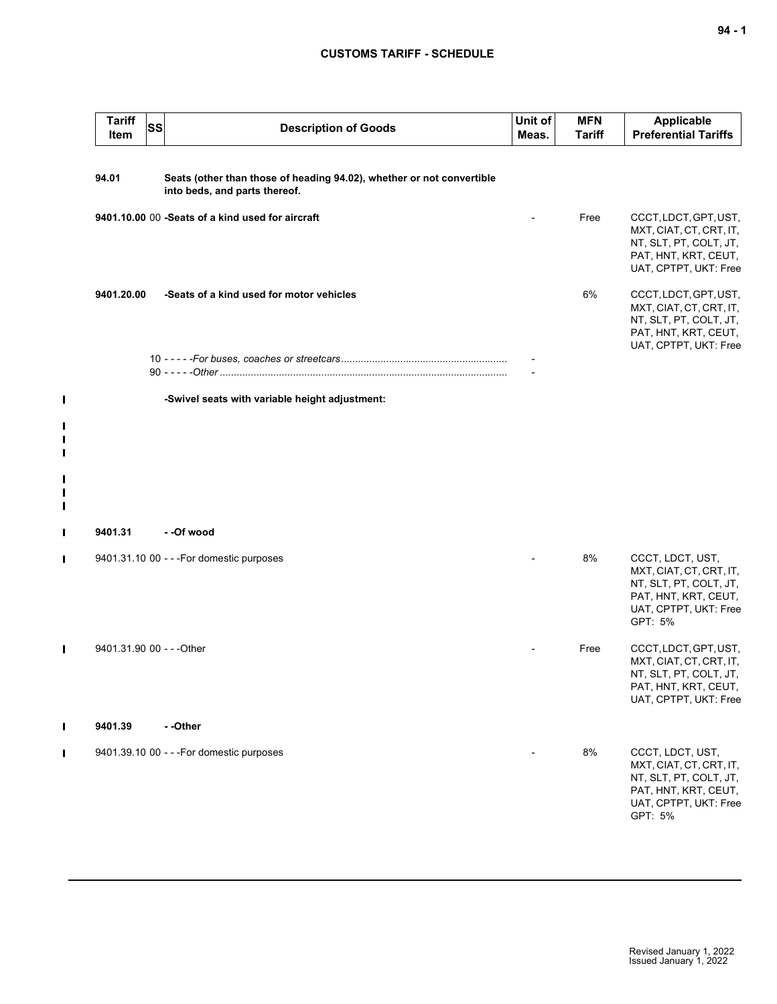| <b>Tariff</b><br>Item     | SS<br><b>Description of Goods</b>                                                                      | Unit of<br>Meas. | <b>MFN</b><br><b>Tariff</b> | <b>Applicable</b><br><b>Preferential Tariffs</b>                                                                                  |
|---------------------------|--------------------------------------------------------------------------------------------------------|------------------|-----------------------------|-----------------------------------------------------------------------------------------------------------------------------------|
| 94.01                     | Seats (other than those of heading 94.02), whether or not convertible<br>into beds, and parts thereof. |                  |                             |                                                                                                                                   |
|                           | 9401.10.00 00 -Seats of a kind used for aircraft                                                       |                  | Free                        | CCCT, LDCT, GPT, UST,<br>MXT, CIAT, CT, CRT, IT,<br>NT, SLT, PT, COLT, JT,<br>PAT, HNT, KRT, CEUT,<br>UAT, CPTPT, UKT: Free       |
| 9401.20.00                | -Seats of a kind used for motor vehicles                                                               |                  | 6%                          | CCCT, LDCT, GPT, UST,<br>MXT, CIAT, CT, CRT, IT,<br>NT, SLT, PT, COLT, JT,<br>PAT, HNT, KRT, CEUT,<br>UAT, CPTPT, UKT: Free       |
|                           |                                                                                                        |                  |                             |                                                                                                                                   |
|                           | -Swivel seats with variable height adjustment:                                                         |                  |                             |                                                                                                                                   |
|                           |                                                                                                        |                  |                             |                                                                                                                                   |
|                           |                                                                                                        |                  |                             |                                                                                                                                   |
| 9401.31                   | - -Of wood                                                                                             |                  |                             |                                                                                                                                   |
|                           | 9401.31.10 00 - - - For domestic purposes                                                              |                  | 8%                          | CCCT, LDCT, UST,<br>MXT, CIAT, CT, CRT, IT,<br>NT, SLT, PT, COLT, JT,<br>PAT, HNT, KRT, CEUT,<br>UAT, CPTPT, UKT: Free<br>GPT: 5% |
| 9401.31.90 00 - - - Other |                                                                                                        |                  | Free                        | CCCT, LDCT, GPT, UST,<br>MXT, CIAT, CT, CRT, IT,<br>NT, SLT, PT, COLT, JT,<br>PAT, HNT, KRT, CEUT,<br>UAT, CPTPT, UKT: Free       |
| 9401.39                   | --Other                                                                                                |                  |                             |                                                                                                                                   |
|                           | 9401.39.10 00 - - - For domestic purposes                                                              |                  | 8%                          | CCCT, LDCT, UST,<br>MXT, CIAT, CT, CRT, IT,<br>NT, SLT, PT, COLT, JT,<br>PAT, HNT, KRT, CEUT,<br>UAT, CPTPT, UKT: Free<br>GPT: 5% |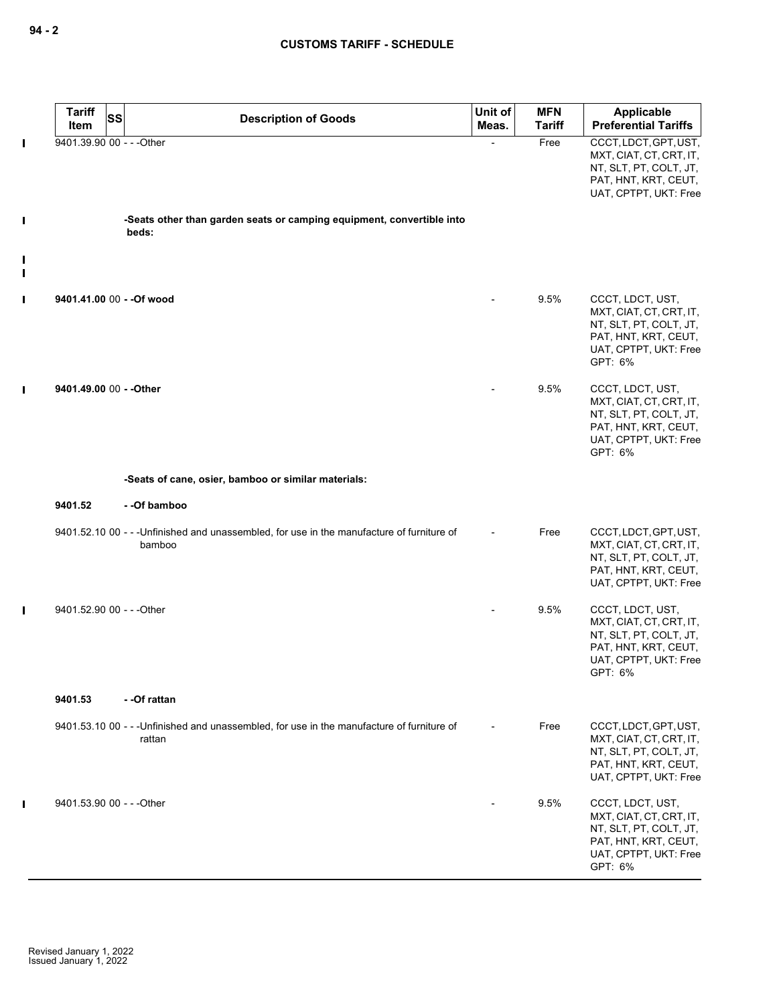|                                  | <b>Tariff</b><br>SS<br>Item | <b>Description of Goods</b>                                                                          | Unit of<br>Meas. | <b>MFN</b><br><b>Tariff</b> | Applicable<br><b>Preferential Tariffs</b>                                                                                         |
|----------------------------------|-----------------------------|------------------------------------------------------------------------------------------------------|------------------|-----------------------------|-----------------------------------------------------------------------------------------------------------------------------------|
| П                                | 9401.39.90 00 - - - Other   |                                                                                                      |                  | Free                        | CCCT, LDCT, GPT, UST,<br>MXT, CIAT, CT, CRT, IT,<br>NT, SLT, PT, COLT, JT,<br>PAT, HNT, KRT, CEUT,<br>UAT, CPTPT, UKT: Free       |
| I                                |                             | -Seats other than garden seats or camping equipment, convertible into<br>beds:                       |                  |                             |                                                                                                                                   |
| $\blacksquare$<br>$\blacksquare$ |                             |                                                                                                      |                  |                             |                                                                                                                                   |
| $\blacksquare$                   | 9401.41.00 00 - - Of wood   |                                                                                                      |                  | 9.5%                        | CCCT, LDCT, UST,<br>MXT, CIAT, CT, CRT, IT,<br>NT, SLT, PT, COLT, JT,<br>PAT, HNT, KRT, CEUT,<br>UAT, CPTPT, UKT: Free<br>GPT: 6% |
| П                                | 9401.49.00 00 - - Other     |                                                                                                      |                  | 9.5%                        | CCCT, LDCT, UST,<br>MXT, CIAT, CT, CRT, IT,<br>NT, SLT, PT, COLT, JT,<br>PAT, HNT, KRT, CEUT,<br>UAT, CPTPT, UKT: Free<br>GPT: 6% |
|                                  |                             | -Seats of cane, osier, bamboo or similar materials:                                                  |                  |                             |                                                                                                                                   |
|                                  | 9401.52                     | - -Of bamboo                                                                                         |                  |                             |                                                                                                                                   |
|                                  |                             | 9401.52.10 00 - - - Unfinished and unassembled, for use in the manufacture of furniture of<br>bamboo |                  | Free                        | CCCT, LDCT, GPT, UST,<br>MXT, CIAT, CT, CRT, IT,<br>NT, SLT, PT, COLT, JT,<br>PAT, HNT, KRT, CEUT,<br>UAT, CPTPT, UKT: Free       |
| П                                | 9401.52.90 00 - - - Other   |                                                                                                      |                  | 9.5%                        | CCCT, LDCT, UST,<br>MXT, CIAT, CT, CRT, IT,<br>NT, SLT, PT, COLT, JT,<br>PAT, HNT, KRT, CEUT,<br>UAT, CPTPT, UKT: Free<br>GPT: 6% |
|                                  | 9401.53                     | - -Of rattan                                                                                         |                  |                             |                                                                                                                                   |
|                                  |                             | 9401.53.10 00 - - - Unfinished and unassembled, for use in the manufacture of furniture of<br>rattan |                  | Free                        | CCCT, LDCT, GPT, UST,<br>MXT, CIAT, CT, CRT, IT,<br>NT, SLT, PT, COLT, JT,<br>PAT, HNT, KRT, CEUT,<br>UAT, CPTPT, UKT: Free       |
| Ш                                | 9401.53.90 00 - - - Other   |                                                                                                      |                  | 9.5%                        | CCCT, LDCT, UST,<br>MXT, CIAT, CT, CRT, IT,<br>NT, SLT, PT, COLT, JT,<br>PAT, HNT, KRT, CEUT,<br>UAT, CPTPT, UKT: Free<br>GPT: 6% |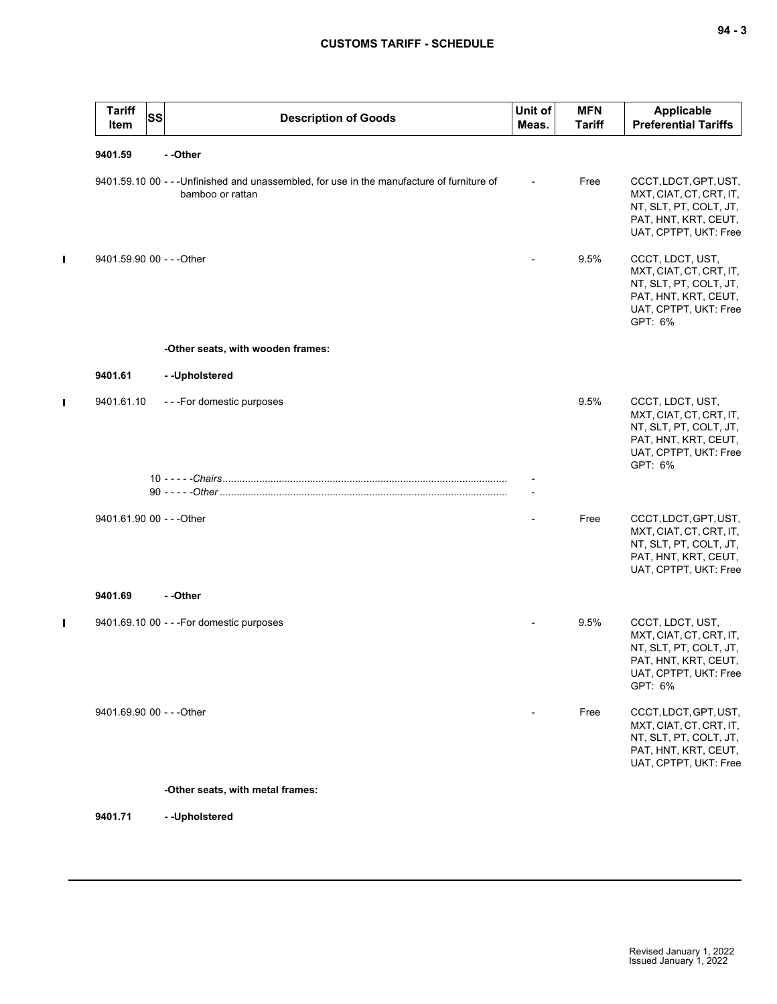$\mathbf{I}$ 

 $\mathbf I$ 

 $\blacksquare$ 

| <b>Tariff</b><br><b>SS</b><br>Item | <b>Description of Goods</b>                                                                                    | Unit of<br>Meas.         | <b>MFN</b><br><b>Tariff</b> | Applicable<br><b>Preferential Tariffs</b>                                                                                         |
|------------------------------------|----------------------------------------------------------------------------------------------------------------|--------------------------|-----------------------------|-----------------------------------------------------------------------------------------------------------------------------------|
| 9401.59                            | --Other                                                                                                        |                          |                             |                                                                                                                                   |
|                                    | 9401.59.10 00 - - - Unfinished and unassembled, for use in the manufacture of furniture of<br>bamboo or rattan | $\overline{\phantom{a}}$ | Free                        | CCCT, LDCT, GPT, UST,<br>MXT, CIAT, CT, CRT, IT,<br>NT, SLT, PT, COLT, JT,<br>PAT, HNT, KRT, CEUT,<br>UAT, CPTPT, UKT: Free       |
| 9401.59.90 00 - - - Other          |                                                                                                                |                          | 9.5%                        | CCCT, LDCT, UST,<br>MXT, CIAT, CT, CRT, IT,<br>NT, SLT, PT, COLT, JT,<br>PAT, HNT, KRT, CEUT,<br>UAT, CPTPT, UKT: Free<br>GPT: 6% |
|                                    | -Other seats, with wooden frames:                                                                              |                          |                             |                                                                                                                                   |
| 9401.61                            | -- Upholstered                                                                                                 |                          |                             |                                                                                                                                   |
| 9401.61.10                         | ---For domestic purposes                                                                                       |                          | 9.5%                        | CCCT, LDCT, UST,<br>MXT, CIAT, CT, CRT, IT,<br>NT, SLT, PT, COLT, JT,<br>PAT, HNT, KRT, CEUT,<br>UAT, CPTPT, UKT: Free<br>GPT: 6% |
|                                    |                                                                                                                |                          |                             |                                                                                                                                   |
| 9401.61.90 00 - - - Other          |                                                                                                                |                          | Free                        | CCCT, LDCT, GPT, UST,<br>MXT, CIAT, CT, CRT, IT,<br>NT, SLT, PT, COLT, JT,<br>PAT, HNT, KRT, CEUT,<br>UAT, CPTPT, UKT: Free       |
| 9401.69                            | - -Other                                                                                                       |                          |                             |                                                                                                                                   |
|                                    | 9401.69.10 00 - - - For domestic purposes                                                                      |                          | 9.5%                        | CCCT, LDCT, UST,<br>MXT, CIAT, CT, CRT, IT,<br>NT, SLT, PT, COLT, JT,<br>PAT, HNT, KRT, CEUT,<br>UAT, CPTPT, UKT: Free<br>GPT: 6% |
| 9401.69.90 00 - - - Other          |                                                                                                                |                          | Free                        | CCCT, LDCT, GPT, UST,<br>MXT, CIAT, CT, CRT, IT,<br>NT, SLT, PT, COLT, JT,<br>PAT, HNT, KRT, CEUT,<br>UAT, CPTPT, UKT: Free       |
|                                    | -Other seats, with metal frames:                                                                               |                          |                             |                                                                                                                                   |
| 9401.71                            | -- Upholstered                                                                                                 |                          |                             |                                                                                                                                   |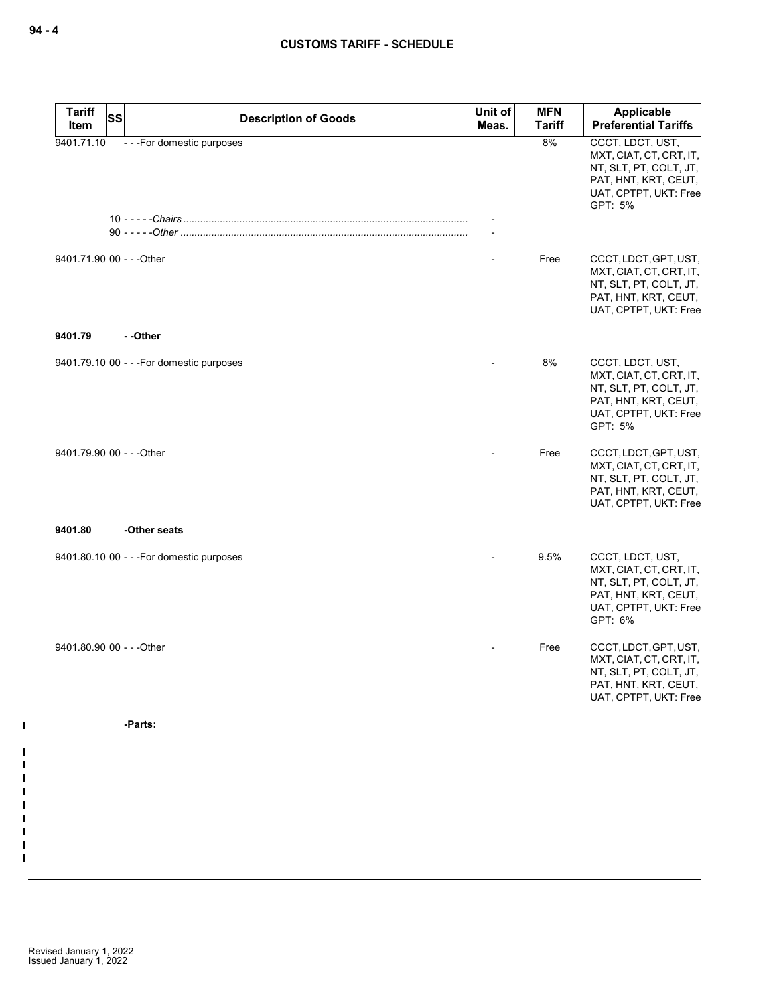| <b>Tariff</b><br>SS<br>Item | <b>Description of Goods</b>               | Unit of<br>Meas. | <b>MFN</b><br><b>Tariff</b> | Applicable<br><b>Preferential Tariffs</b>                                                                                         |
|-----------------------------|-------------------------------------------|------------------|-----------------------------|-----------------------------------------------------------------------------------------------------------------------------------|
| 9401.71.10                  | ---For domestic purposes                  |                  | 8%                          | CCCT, LDCT, UST,<br>MXT, CIAT, CT, CRT, IT,<br>NT, SLT, PT, COLT, JT,<br>PAT, HNT, KRT, CEUT,<br>UAT, CPTPT, UKT: Free<br>GPT: 5% |
|                             |                                           |                  |                             |                                                                                                                                   |
| 9401.71.90 00 - - - Other   |                                           |                  | Free                        | CCCT, LDCT, GPT, UST,<br>MXT, CIAT, CT, CRT, IT,<br>NT, SLT, PT, COLT, JT,<br>PAT, HNT, KRT, CEUT,<br>UAT, CPTPT, UKT: Free       |
| 9401.79                     | - -Other                                  |                  |                             |                                                                                                                                   |
|                             | 9401.79.10 00 - - - For domestic purposes |                  | 8%                          | CCCT, LDCT, UST,<br>MXT, CIAT, CT, CRT, IT,<br>NT, SLT, PT, COLT, JT,<br>PAT, HNT, KRT, CEUT,<br>UAT, CPTPT, UKT: Free<br>GPT: 5% |
| 9401.79.90 00 - - - Other   |                                           |                  | Free                        | CCCT, LDCT, GPT, UST,<br>MXT, CIAT, CT, CRT, IT,<br>NT, SLT, PT, COLT, JT,<br>PAT, HNT, KRT, CEUT,<br>UAT, CPTPT, UKT: Free       |
| 9401.80                     | -Other seats                              |                  |                             |                                                                                                                                   |
|                             | 9401.80.10 00 - - - For domestic purposes |                  | 9.5%                        | CCCT, LDCT, UST,<br>MXT, CIAT, CT, CRT, IT,<br>NT, SLT, PT, COLT, JT,<br>PAT, HNT, KRT, CEUT,<br>UAT, CPTPT, UKT: Free<br>GPT: 6% |
| 9401.80.90 00 - - - Other   |                                           |                  | Free                        | CCCT, LDCT, GPT, UST,<br>MXT, CIAT, CT, CRT, IT,<br>NT, SLT, PT, COLT, JT,<br>PAT, HNT, KRT, CEUT,<br>UAT, CPTPT, UKT: Free       |
|                             | -Parts:                                   |                  |                             |                                                                                                                                   |
|                             |                                           |                  |                             |                                                                                                                                   |
|                             |                                           |                  |                             |                                                                                                                                   |

 $\mathbf I$ 

 $\blacksquare$  $\blacksquare$  $\blacksquare$  $\blacksquare$ H  $\blacksquare$  $\blacksquare$  $\blacksquare$  $\mathbf I$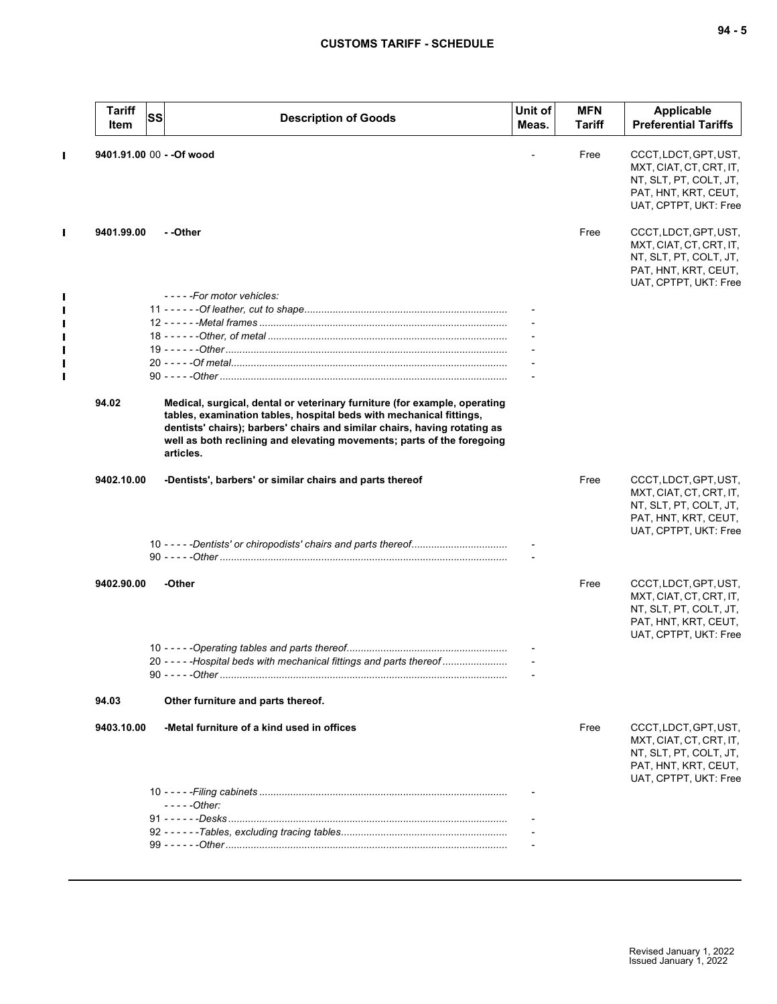| <b>Tariff</b><br>Item | <b>SS</b> | <b>Description of Goods</b>                                                                                                                                                                                                                                                                                          | Unit of<br>Meas. | <b>MFN</b><br>Tariff | <b>Applicable</b><br><b>Preferential Tariffs</b>                                                                            |
|-----------------------|-----------|----------------------------------------------------------------------------------------------------------------------------------------------------------------------------------------------------------------------------------------------------------------------------------------------------------------------|------------------|----------------------|-----------------------------------------------------------------------------------------------------------------------------|
|                       |           | 9401.91.00 00 - - Of wood                                                                                                                                                                                                                                                                                            |                  | Free                 | CCCT, LDCT, GPT, UST,<br>MXT, CIAT, CT, CRT, IT,<br>NT, SLT, PT, COLT, JT,<br>PAT, HNT, KRT, CEUT,<br>UAT, CPTPT, UKT: Free |
| 9401.99.00            |           | - -Other                                                                                                                                                                                                                                                                                                             |                  | Free                 | CCCT, LDCT, GPT, UST,<br>MXT, CIAT, CT, CRT, IT,<br>NT, SLT, PT, COLT, JT,<br>PAT, HNT, KRT, CEUT,<br>UAT, CPTPT, UKT: Free |
|                       |           | - - - - - For motor vehicles:                                                                                                                                                                                                                                                                                        |                  |                      |                                                                                                                             |
|                       |           |                                                                                                                                                                                                                                                                                                                      |                  |                      |                                                                                                                             |
|                       |           |                                                                                                                                                                                                                                                                                                                      |                  |                      |                                                                                                                             |
|                       |           |                                                                                                                                                                                                                                                                                                                      |                  |                      |                                                                                                                             |
|                       |           |                                                                                                                                                                                                                                                                                                                      |                  |                      |                                                                                                                             |
|                       |           |                                                                                                                                                                                                                                                                                                                      |                  |                      |                                                                                                                             |
| 94.02                 |           | Medical, surgical, dental or veterinary furniture (for example, operating<br>tables, examination tables, hospital beds with mechanical fittings,<br>dentists' chairs); barbers' chairs and similar chairs, having rotating as<br>well as both reclining and elevating movements; parts of the foregoing<br>articles. |                  |                      |                                                                                                                             |
| 9402.10.00            |           | -Dentists', barbers' or similar chairs and parts thereof                                                                                                                                                                                                                                                             |                  | Free                 | CCCT, LDCT, GPT, UST,<br>MXT, CIAT, CT, CRT, IT,<br>NT, SLT, PT, COLT, JT,<br>PAT, HNT, KRT, CEUT,<br>UAT, CPTPT, UKT: Free |
|                       |           |                                                                                                                                                                                                                                                                                                                      |                  |                      |                                                                                                                             |
| 9402.90.00            |           | -Other                                                                                                                                                                                                                                                                                                               |                  | Free                 | CCCT, LDCT, GPT, UST,<br>MXT, CIAT, CT, CRT, IT,<br>NT, SLT, PT, COLT, JT,<br>PAT, HNT, KRT, CEUT,<br>UAT, CPTPT, UKT: Free |
|                       |           |                                                                                                                                                                                                                                                                                                                      |                  |                      |                                                                                                                             |
|                       |           | 20 - - - - - Hospital beds with mechanical fittings and parts thereof                                                                                                                                                                                                                                                |                  |                      |                                                                                                                             |
| 94.03                 |           | Other furniture and parts thereof.                                                                                                                                                                                                                                                                                   |                  |                      |                                                                                                                             |
| 9403.10.00            |           | -Metal furniture of a kind used in offices                                                                                                                                                                                                                                                                           |                  | Free                 | CCCT, LDCT, GPT, UST,<br>MXT, CIAT, CT, CRT, IT,<br>NT, SLT, PT, COLT, JT,<br>PAT, HNT, KRT, CEUT,<br>UAT, CPTPT, UKT: Free |
|                       |           |                                                                                                                                                                                                                                                                                                                      |                  |                      |                                                                                                                             |
|                       |           | $---Other:$                                                                                                                                                                                                                                                                                                          |                  |                      |                                                                                                                             |
|                       |           |                                                                                                                                                                                                                                                                                                                      |                  |                      |                                                                                                                             |
|                       |           |                                                                                                                                                                                                                                                                                                                      |                  |                      |                                                                                                                             |
|                       |           |                                                                                                                                                                                                                                                                                                                      |                  |                      |                                                                                                                             |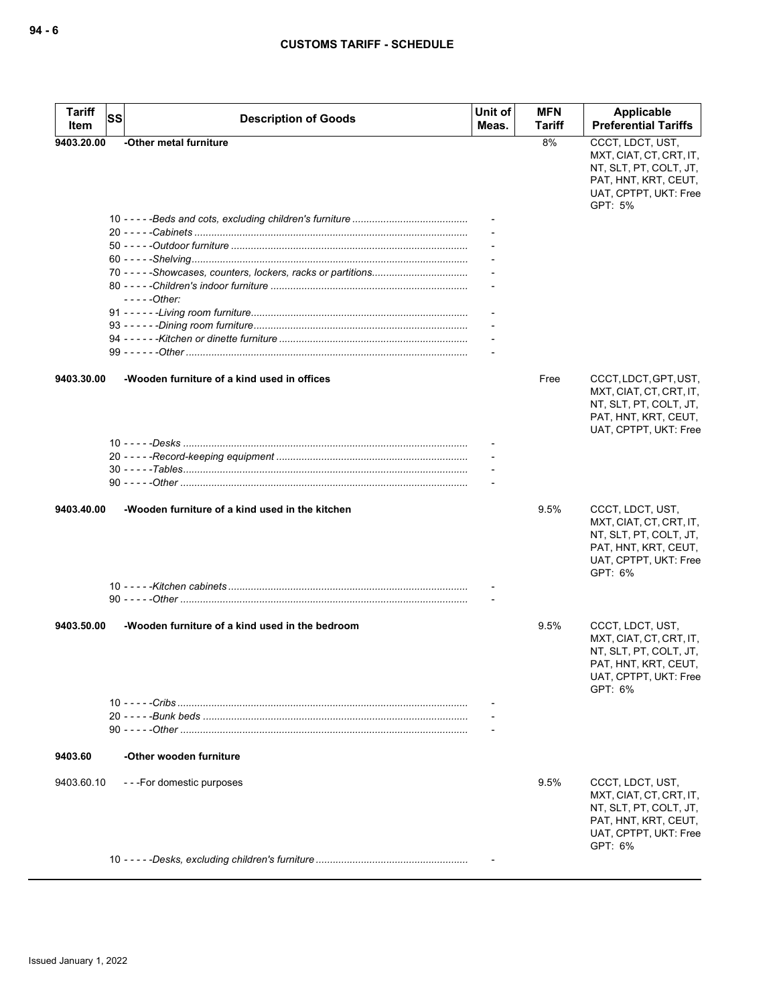| <b>Tariff</b><br>Item | <b>SS</b> | <b>Description of Goods</b>                     | Unit of<br>Meas. | MFN<br>Tariff | Applicable<br><b>Preferential Tariffs</b>                                                                                         |
|-----------------------|-----------|-------------------------------------------------|------------------|---------------|-----------------------------------------------------------------------------------------------------------------------------------|
| 9403.20.00            |           | -Other metal furniture                          |                  | 8%            | CCCT, LDCT, UST,<br>MXT, CIAT, CT, CRT, IT,<br>NT, SLT, PT, COLT, JT,<br>PAT, HNT, KRT, CEUT,<br>UAT, CPTPT, UKT: Free<br>GPT: 5% |
|                       |           | - - - - - Other:                                |                  |               |                                                                                                                                   |
| 9403.30.00            |           | -Wooden furniture of a kind used in offices     |                  | Free          | CCCT, LDCT, GPT, UST,<br>MXT, CIAT, CT, CRT, IT,<br>NT, SLT, PT, COLT, JT,<br>PAT, HNT, KRT, CEUT,<br>UAT, CPTPT, UKT: Free       |
|                       |           |                                                 |                  |               |                                                                                                                                   |
| 9403.40.00            |           | -Wooden furniture of a kind used in the kitchen |                  | 9.5%          | CCCT, LDCT, UST,<br>MXT, CIAT, CT, CRT, IT,<br>NT, SLT, PT, COLT, JT,<br>PAT, HNT, KRT, CEUT,<br>UAT, CPTPT, UKT: Free<br>GPT: 6% |
|                       |           |                                                 |                  |               |                                                                                                                                   |
| 9403.50.00            |           | -Wooden furniture of a kind used in the bedroom |                  | 9.5%          | CCCT, LDCT, UST,<br>MXT, CIAT, CT, CRT, IT,<br>NT, SLT, PT, COLT, JT,<br>PAT, HNT, KRT, CEUT,<br>UAT, CPTPT, UKT: Free<br>GPT: 6% |
|                       |           |                                                 |                  |               |                                                                                                                                   |
| 9403.60               |           | -Other wooden furniture                         |                  |               |                                                                                                                                   |
| 9403.60.10            |           | ---For domestic purposes                        |                  | 9.5%          | CCCT, LDCT, UST,<br>MXT, CIAT, CT, CRT, IT,<br>NT, SLT, PT, COLT, JT,<br>PAT, HNT, KRT, CEUT,<br>UAT, CPTPT, UKT: Free<br>GPT: 6% |
|                       |           |                                                 |                  |               |                                                                                                                                   |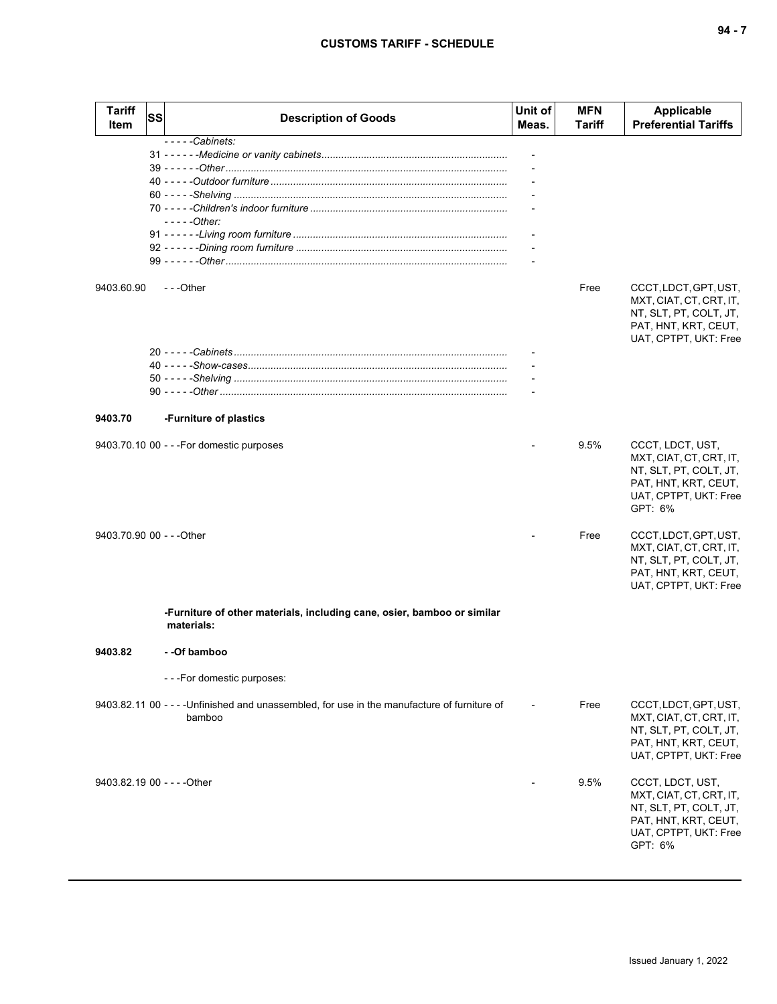| Tariff<br>Item              | SS | <b>Description of Goods</b>                                                                            | Unit of<br>Meas. | MFN<br>Tariff | <b>Applicable</b><br><b>Preferential Tariffs</b>                                                                                  |
|-----------------------------|----|--------------------------------------------------------------------------------------------------------|------------------|---------------|-----------------------------------------------------------------------------------------------------------------------------------|
| 9403.60.90                  |    | $--$ - $-$ Cabinets:<br>$---Other:$<br>$-$ - -Other                                                    |                  | Free          | CCCT, LDCT, GPT, UST,<br>MXT, CIAT, CT, CRT, IT,<br>NT, SLT, PT, COLT, JT,<br>PAT, HNT, KRT, CEUT,<br>UAT, CPTPT, UKT: Free       |
| 9403.70                     |    | -Furniture of plastics                                                                                 |                  |               |                                                                                                                                   |
|                             |    | 9403.70.10 00 - - - For domestic purposes                                                              |                  | 9.5%          | CCCT, LDCT, UST,<br>MXT, CIAT, CT, CRT, IT,<br>NT, SLT, PT, COLT, JT,<br>PAT, HNT, KRT, CEUT,<br>UAT, CPTPT, UKT: Free<br>GPT: 6% |
| 9403.70.90 00 - - - Other   |    |                                                                                                        |                  | Free          | CCCT, LDCT, GPT, UST,<br>MXT, CIAT, CT, CRT, IT,<br>NT, SLT, PT, COLT, JT,<br>PAT, HNT, KRT, CEUT,<br>UAT, CPTPT, UKT: Free       |
|                             |    | -Furniture of other materials, including cane, osier, bamboo or similar<br>materials:                  |                  |               |                                                                                                                                   |
| 9403.82                     |    | - -Of bamboo                                                                                           |                  |               |                                                                                                                                   |
|                             |    | ---For domestic purposes:                                                                              |                  |               |                                                                                                                                   |
|                             |    | 9403.82.11 00 - - - - Unfinished and unassembled, for use in the manufacture of furniture of<br>bamboo |                  | Free          | CCCT, LDCT, GPT, UST,<br>MXT, CIAT, CT, CRT, IT,<br>NT, SLT, PT, COLT, JT,<br>PAT, HNT, KRT, CEUT,<br>UAT, CPTPT, UKT: Free       |
| 9403.82.19 00 - - - - Other |    |                                                                                                        |                  | 9.5%          | CCCT, LDCT, UST,<br>MXT, CIAT, CT, CRT, IT,<br>NT, SLT, PT, COLT, JT,<br>PAT, HNT, KRT, CEUT,<br>UAT, CPTPT, UKT: Free<br>GPT: 6% |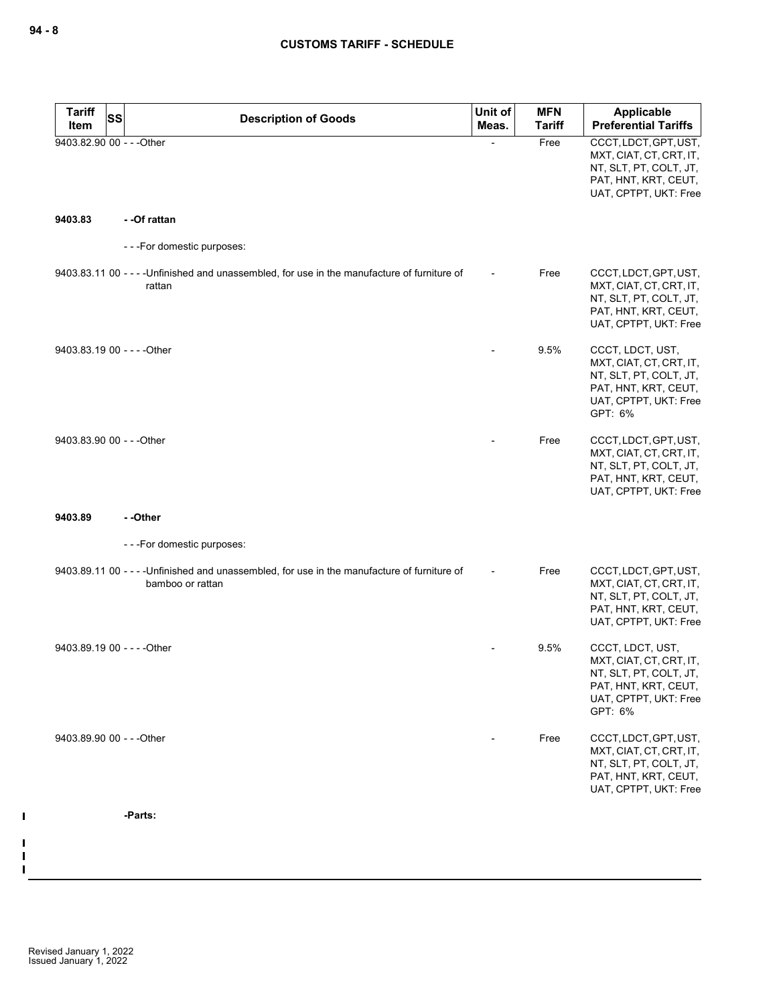| <b>Tariff</b><br>SS         | <b>Description of Goods</b>                                                                                      | Unit of | <b>MFN</b>    | Applicable                                                                                                                        |
|-----------------------------|------------------------------------------------------------------------------------------------------------------|---------|---------------|-----------------------------------------------------------------------------------------------------------------------------------|
| Item                        |                                                                                                                  | Meas.   | <b>Tariff</b> | <b>Preferential Tariffs</b>                                                                                                       |
| 9403.82.90 00 - - - Other   |                                                                                                                  |         | Free          | CCCT, LDCT, GPT, UST,<br>MXT, CIAT, CT, CRT, IT,<br>NT, SLT, PT, COLT, JT,<br>PAT, HNT, KRT, CEUT,<br>UAT, CPTPT, UKT: Free       |
| 9403.83                     | - -Of rattan                                                                                                     |         |               |                                                                                                                                   |
|                             | ---For domestic purposes:                                                                                        |         |               |                                                                                                                                   |
|                             | 9403.83.11 00 - - - - Unfinished and unassembled, for use in the manufacture of furniture of<br>rattan           |         | Free          | CCCT, LDCT, GPT, UST,<br>MXT, CIAT, CT, CRT, IT,<br>NT, SLT, PT, COLT, JT,<br>PAT, HNT, KRT, CEUT,<br>UAT, CPTPT, UKT: Free       |
| 9403.83.19 00 - - - - Other |                                                                                                                  |         | 9.5%          | CCCT, LDCT, UST,<br>MXT, CIAT, CT, CRT, IT,<br>NT, SLT, PT, COLT, JT,<br>PAT, HNT, KRT, CEUT,<br>UAT, CPTPT, UKT: Free<br>GPT: 6% |
| 9403.83.90 00 - - - Other   |                                                                                                                  |         | Free          | CCCT, LDCT, GPT, UST,<br>MXT, CIAT, CT, CRT, IT,<br>NT, SLT, PT, COLT, JT,<br>PAT, HNT, KRT, CEUT,<br>UAT, CPTPT, UKT: Free       |
| 9403.89                     | - -Other                                                                                                         |         |               |                                                                                                                                   |
|                             | ---For domestic purposes:                                                                                        |         |               |                                                                                                                                   |
|                             | 9403.89.11 00 - - - - Unfinished and unassembled, for use in the manufacture of furniture of<br>bamboo or rattan |         | Free          | CCCT, LDCT, GPT, UST,<br>MXT, CIAT, CT, CRT, IT,<br>NT, SLT, PT, COLT, JT,<br>PAT, HNT, KRT, CEUT,<br>UAT, CPTPT, UKT: Free       |
| 9403.89.19 00 - - - - Other |                                                                                                                  |         | 9.5%          | CCCT, LDCT, UST,<br>MXT, CIAT, CT, CRT, IT,<br>NT, SLT, PT, COLT, JT,<br>PAT, HNT, KRT, CEUT,<br>UAT, CPTPT, UKT: Free<br>GPT: 6% |
| 9403.89.90 00 - - - Other   |                                                                                                                  |         | Free          | CCCT, LDCT, GPT, UST,<br>MXT, CIAT, CT, CRT, IT,<br>NT, SLT, PT, COLT, JT,<br>PAT, HNT, KRT, CEUT,<br>UAT, CPTPT, UKT: Free       |
|                             | -Parts:                                                                                                          |         |               |                                                                                                                                   |
|                             |                                                                                                                  |         |               |                                                                                                                                   |

 $\mathbf I$ 

 $\mathbf I$  $\mathbf{I}$  $\mathbf I$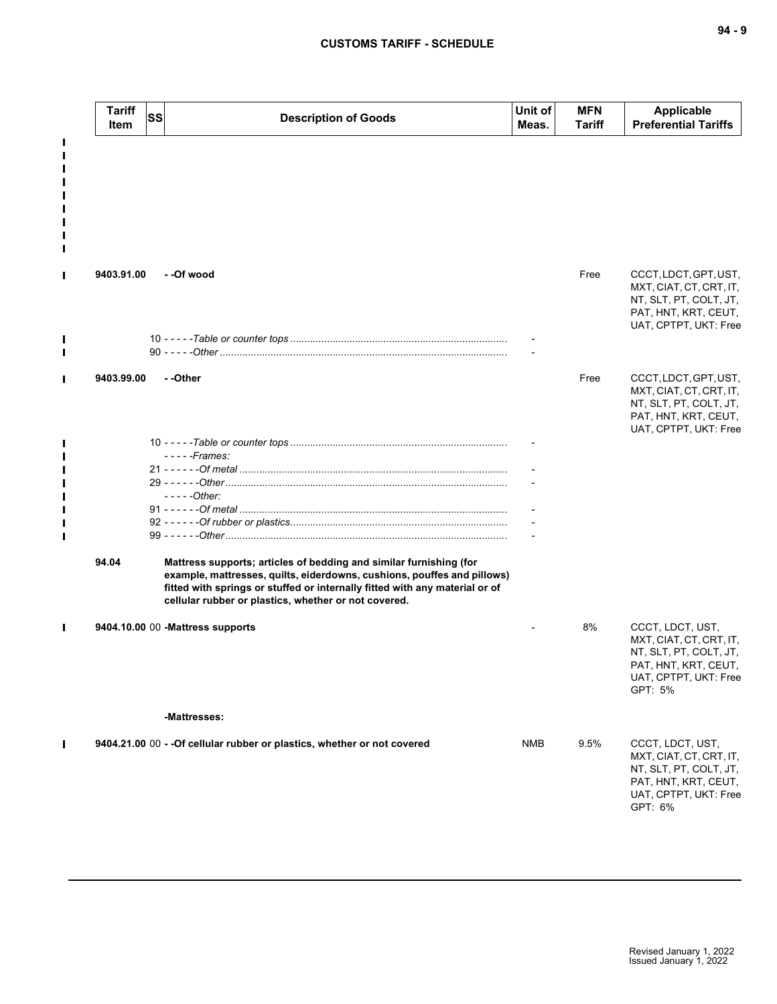|                | <b>Tariff</b><br>Item | <b>SS</b> | <b>Description of Goods</b>                                                                                                                                                                                                                                                          | Unit of<br>Meas. | <b>MFN</b><br>Tariff | <b>Applicable</b><br><b>Preferential Tariffs</b>                                                                                  |
|----------------|-----------------------|-----------|--------------------------------------------------------------------------------------------------------------------------------------------------------------------------------------------------------------------------------------------------------------------------------------|------------------|----------------------|-----------------------------------------------------------------------------------------------------------------------------------|
| L              |                       |           |                                                                                                                                                                                                                                                                                      |                  |                      |                                                                                                                                   |
| П              | 9403.91.00            |           | - -Of wood                                                                                                                                                                                                                                                                           |                  | Free                 | CCCT, LDCT, GPT, UST,<br>MXT, CIAT, CT, CRT, IT,<br>NT, SLT, PT, COLT, JT,<br>PAT, HNT, KRT, CEUT,<br>UAT, CPTPT, UKT: Free       |
| П              |                       |           |                                                                                                                                                                                                                                                                                      |                  |                      |                                                                                                                                   |
|                | 9403.99.00            |           | - -Other                                                                                                                                                                                                                                                                             |                  | Free                 | CCCT, LDCT, GPT, UST,<br>MXT, CIAT, CT, CRT, IT,<br>NT, SLT, PT, COLT, JT,<br>PAT, HNT, KRT, CEUT,<br>UAT, CPTPT, UKT: Free       |
|                |                       |           | $---Frames:$                                                                                                                                                                                                                                                                         |                  |                      |                                                                                                                                   |
|                |                       |           |                                                                                                                                                                                                                                                                                      |                  |                      |                                                                                                                                   |
|                |                       |           | $---Other:$                                                                                                                                                                                                                                                                          |                  |                      |                                                                                                                                   |
|                |                       |           |                                                                                                                                                                                                                                                                                      |                  |                      |                                                                                                                                   |
|                | 94.04                 |           | Mattress supports; articles of bedding and similar furnishing (for<br>example, mattresses, quilts, eiderdowns, cushions, pouffes and pillows)<br>fitted with springs or stuffed or internally fitted with any material or of<br>cellular rubber or plastics, whether or not covered. |                  |                      |                                                                                                                                   |
| Ш              |                       |           | 9404.10.00 00 - Mattress supports                                                                                                                                                                                                                                                    |                  | 8%                   | CCCT, LDCT, UST,<br>MXT, CIAT, CT, CRT, IT,<br>NT, SLT, PT, COLT, JT,<br>PAT, HNT, KRT, CEUT,<br>UAT, CPTPT, UKT: Free<br>GPT: 5% |
|                |                       |           | -Mattresses:                                                                                                                                                                                                                                                                         |                  |                      |                                                                                                                                   |
| $\blacksquare$ |                       |           | 9404.21.00 00 - - Of cellular rubber or plastics, whether or not covered                                                                                                                                                                                                             | <b>NMB</b>       | 9.5%                 | CCCT, LDCT, UST,<br>MXT, CIAT, CT, CRT, IT,<br>NT, SLT, PT, COLT, JT,<br>PAT, HNT, KRT, CEUT,<br>UAT, CPTPT, UKT: Free<br>GPT: 6% |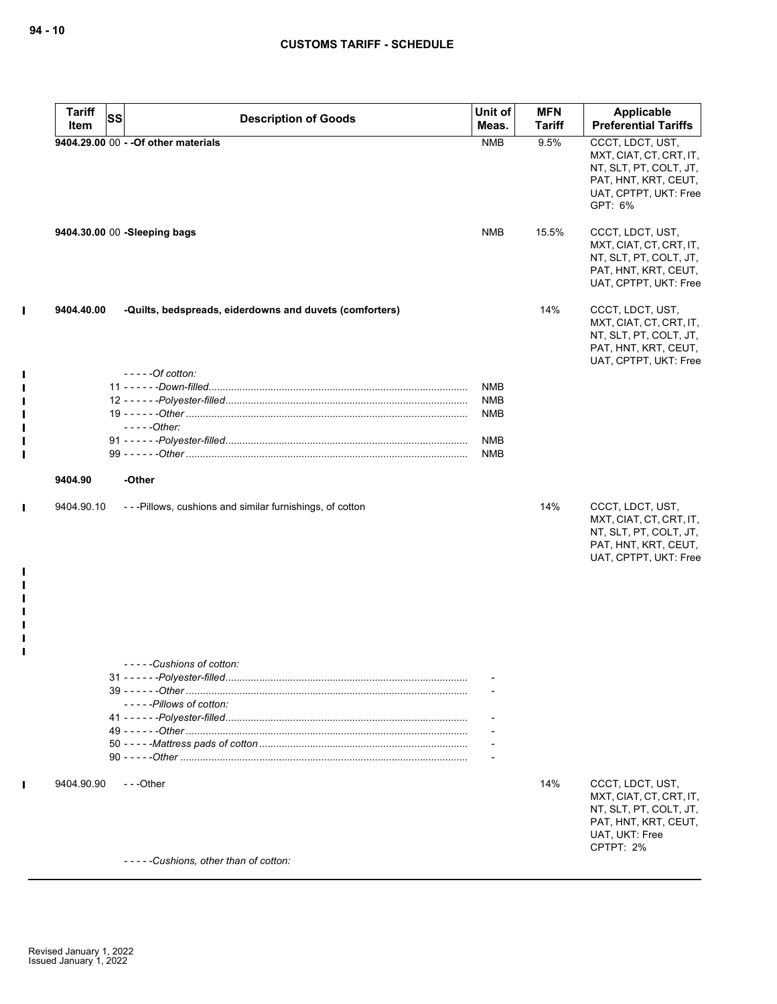$\mathbf I$ 

 $\mathbf{I}$  $\blacksquare$  $\blacksquare$  $\blacksquare$  $\blacksquare$  $\mathbf{I}$  $\mathbf{I}$ 

 $\mathbf{I}$ 

 $\mathbf{I}$  $\blacksquare$  $\blacksquare$  $\mathbf{I}$  $\blacksquare$  $\mathbf{I}$  $\mathbf{I}$ 

 $\mathbf I$ 

| <b>Tariff</b> | SS | <b>Description of Goods</b>                                                | Unit of    | <b>MFN</b>    | Applicable                                                                                                                        |
|---------------|----|----------------------------------------------------------------------------|------------|---------------|-----------------------------------------------------------------------------------------------------------------------------------|
| Item          |    |                                                                            | Meas.      | <b>Tariff</b> | <b>Preferential Tariffs</b>                                                                                                       |
|               |    | 9404.29.00 00 - - Of other materials                                       | <b>NMB</b> | 9.5%          | CCCT, LDCT, UST,<br>MXT, CIAT, CT, CRT, IT,<br>NT, SLT, PT, COLT, JT,<br>PAT, HNT, KRT, CEUT,<br>UAT, CPTPT, UKT: Free<br>GPT: 6% |
|               |    | 9404.30.00 00 -Sleeping bags                                               | NMB        | 15.5%         | CCCT, LDCT, UST,<br>MXT, CIAT, CT, CRT, IT,<br>NT, SLT, PT, COLT, JT,<br>PAT, HNT, KRT, CEUT,<br>UAT, CPTPT, UKT: Free            |
| 9404.40.00    |    | -Quilts, bedspreads, eiderdowns and duvets (comforters)<br>$---Of cotton:$ |            | 14%           | CCCT, LDCT, UST,<br>MXT, CIAT, CT, CRT, IT,<br>NT, SLT, PT, COLT, JT,<br>PAT, HNT, KRT, CEUT,<br>UAT, CPTPT, UKT: Free            |
|               |    |                                                                            | NMB        |               |                                                                                                                                   |
|               |    |                                                                            | NMB        |               |                                                                                                                                   |
|               |    |                                                                            | NMB        |               |                                                                                                                                   |
|               |    | $-- - Other:$                                                              |            |               |                                                                                                                                   |
|               |    |                                                                            | <b>NMB</b> |               |                                                                                                                                   |
|               |    |                                                                            | NMB        |               |                                                                                                                                   |
| 9404.90       |    | -Other                                                                     |            |               |                                                                                                                                   |
| 9404.90.10    |    | ---Pillows, cushions and similar furnishings, of cotton                    |            | 14%           | CCCT, LDCT, UST,<br>MXT, CIAT, CT, CRT, IT,<br>NT, SLT, PT, COLT, JT,<br>PAT, HNT, KRT, CEUT,<br>UAT, CPTPT, UKT: Free            |
|               |    | - - - - - Cushions of cotton:                                              |            |               |                                                                                                                                   |
|               |    |                                                                            |            |               |                                                                                                                                   |
|               |    | -----Pillows of cotton:                                                    |            |               |                                                                                                                                   |
|               |    |                                                                            |            |               |                                                                                                                                   |
|               |    |                                                                            |            |               |                                                                                                                                   |
|               |    |                                                                            |            |               |                                                                                                                                   |
|               |    |                                                                            |            |               |                                                                                                                                   |
| 9404.90.90    |    | ---Other                                                                   |            | 14%           | CCCT, LDCT, UST,<br>MXT, CIAT, CT, CRT, IT,<br>NT, SLT, PT, COLT, JT,<br>PAT, HNT, KRT, CEUT,<br>UAT, UKT: Free<br>CPTPT: 2%      |
|               |    | -----Cushions, other than of cotton:                                       |            |               |                                                                                                                                   |
|               |    |                                                                            |            |               |                                                                                                                                   |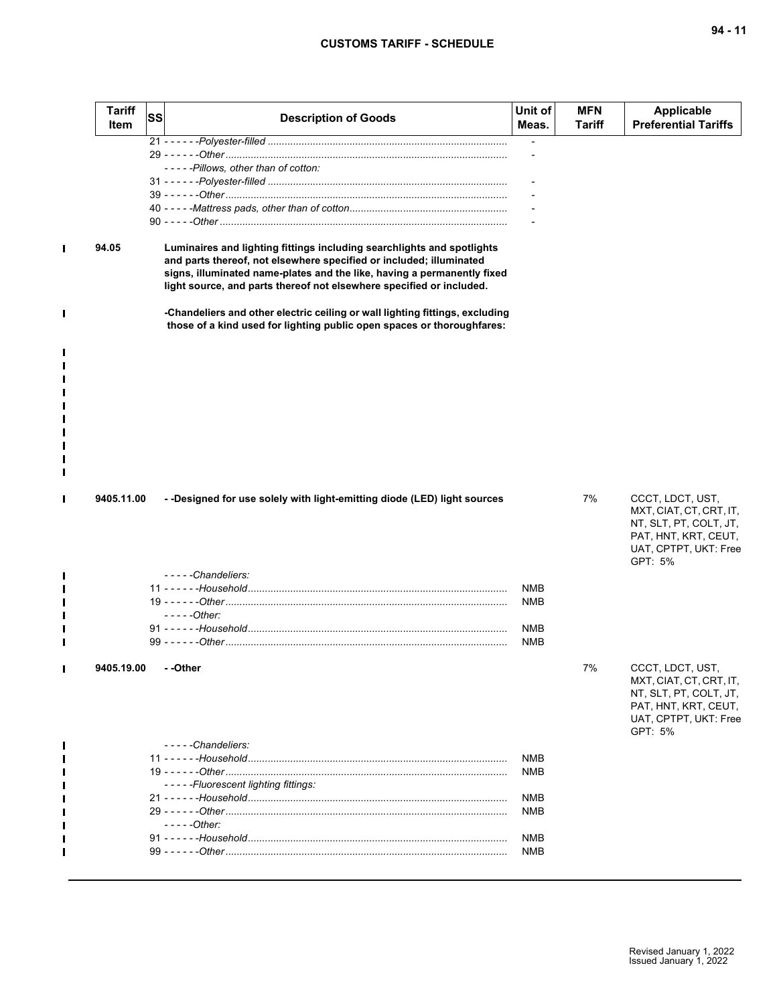| <b>Tariff</b><br>Item | <b>SS</b> | <b>Description of Goods</b>                                                                                                                                                                                                                                                                      | Unit of<br>Meas.         | <b>MFN</b><br><b>Tariff</b> | <b>Applicable</b><br><b>Preferential Tariffs</b>                                                                                  |
|-----------------------|-----------|--------------------------------------------------------------------------------------------------------------------------------------------------------------------------------------------------------------------------------------------------------------------------------------------------|--------------------------|-----------------------------|-----------------------------------------------------------------------------------------------------------------------------------|
|                       |           | -----Pillows, other than of cotton:                                                                                                                                                                                                                                                              |                          |                             |                                                                                                                                   |
| 94.05                 |           | Luminaires and lighting fittings including searchlights and spotlights<br>and parts thereof, not elsewhere specified or included; illuminated<br>signs, illuminated name-plates and the like, having a permanently fixed<br>light source, and parts thereof not elsewhere specified or included. |                          |                             |                                                                                                                                   |
|                       |           | -Chandeliers and other electric ceiling or wall lighting fittings, excluding<br>those of a kind used for lighting public open spaces or thoroughfares:                                                                                                                                           |                          |                             |                                                                                                                                   |
|                       |           |                                                                                                                                                                                                                                                                                                  |                          |                             |                                                                                                                                   |
| 9405.11.00            |           | - -Designed for use solely with light-emitting diode (LED) light sources                                                                                                                                                                                                                         |                          | 7%                          | CCCT, LDCT, UST,<br>MXT, CIAT, CT, CRT, IT,<br>NT, SLT, PT, COLT, JT,<br>PAT, HNT, KRT, CEUT,<br>UAT, CPTPT, UKT: Free<br>GPT: 5% |
|                       |           | $---Chandeliers:$                                                                                                                                                                                                                                                                                |                          |                             |                                                                                                                                   |
|                       |           |                                                                                                                                                                                                                                                                                                  | <b>NMB</b><br><b>NMB</b> |                             |                                                                                                                                   |
|                       |           | $---Other:$                                                                                                                                                                                                                                                                                      |                          |                             |                                                                                                                                   |
|                       |           |                                                                                                                                                                                                                                                                                                  | <b>NMB</b><br><b>NMB</b> |                             |                                                                                                                                   |
| 9405.19.00            |           | - -Other                                                                                                                                                                                                                                                                                         |                          | 7%                          | CCCT, LDCT, UST,<br>MXT, CIAT, CT, CRT, IT,<br>NT, SLT, PT, COLT, JT,<br>PAT, HNT, KRT, CEUT,<br>UAT, CPTPT, UKT: Free<br>GPT: 5% |
|                       |           | -----Chandeliers:                                                                                                                                                                                                                                                                                | <b>NMB</b>               |                             |                                                                                                                                   |
|                       |           |                                                                                                                                                                                                                                                                                                  | <b>NMB</b>               |                             |                                                                                                                                   |
|                       |           | -----Fluorescent lighting fittings:                                                                                                                                                                                                                                                              |                          |                             |                                                                                                                                   |
|                       |           |                                                                                                                                                                                                                                                                                                  | <b>NMB</b>               |                             |                                                                                                                                   |
|                       |           |                                                                                                                                                                                                                                                                                                  | <b>NMB</b>               |                             |                                                                                                                                   |
|                       |           | $---Other:$                                                                                                                                                                                                                                                                                      |                          |                             |                                                                                                                                   |
|                       |           |                                                                                                                                                                                                                                                                                                  | <b>NMB</b><br><b>NMB</b> |                             |                                                                                                                                   |
|                       |           |                                                                                                                                                                                                                                                                                                  |                          |                             |                                                                                                                                   |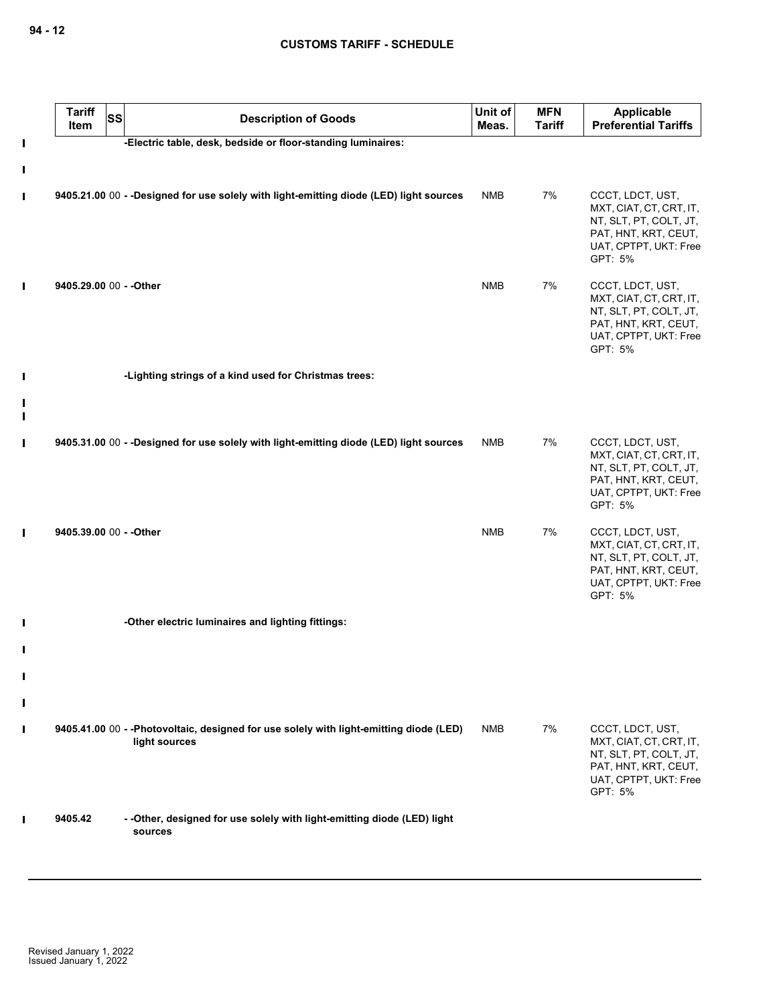|        | <b>Tariff</b><br><b>SS</b><br>Item | <b>Description of Goods</b>                                                                              | Unit of<br>Meas. | <b>MFN</b><br><b>Tariff</b> | Applicable<br><b>Preferential Tariffs</b>                                                                                         |
|--------|------------------------------------|----------------------------------------------------------------------------------------------------------|------------------|-----------------------------|-----------------------------------------------------------------------------------------------------------------------------------|
| L      |                                    | -Electric table, desk, bedside or floor-standing luminaires:                                             |                  |                             |                                                                                                                                   |
| П<br>L |                                    | 9405.21.00 00 - -Designed for use solely with light-emitting diode (LED) light sources                   | <b>NMB</b>       | 7%                          | CCCT, LDCT, UST,<br>MXT, CIAT, CT, CRT, IT,<br>NT, SLT, PT, COLT, JT,<br>PAT, HNT, KRT, CEUT,<br>UAT, CPTPT, UKT: Free<br>GPT: 5% |
| Ш      | 9405.29.00 00 - - Other            |                                                                                                          | <b>NMB</b>       | 7%                          | CCCT, LDCT, UST,<br>MXT, CIAT, CT, CRT, IT,<br>NT, SLT, PT, COLT, JT,<br>PAT, HNT, KRT, CEUT,<br>UAT, CPTPT, UKT: Free<br>GPT: 5% |
| Ι      |                                    | -Lighting strings of a kind used for Christmas trees:                                                    |                  |                             |                                                                                                                                   |
| Ι      |                                    |                                                                                                          |                  |                             |                                                                                                                                   |
| Г      |                                    | 9405.31.00 00 - -Designed for use solely with light-emitting diode (LED) light sources                   | <b>NMB</b>       | 7%                          | CCCT, LDCT, UST,<br>MXT, CIAT, CT, CRT, IT,<br>NT, SLT, PT, COLT, JT,<br>PAT, HNT, KRT, CEUT,<br>UAT, CPTPT, UKT: Free<br>GPT: 5% |
| П      | 9405.39.00 00 - - Other            |                                                                                                          | <b>NMB</b>       | 7%                          | CCCT, LDCT, UST,<br>MXT, CIAT, CT, CRT, IT,<br>NT, SLT, PT, COLT, JT,<br>PAT, HNT, KRT, CEUT,<br>UAT, CPTPT, UKT: Free<br>GPT: 5% |
| Ш      |                                    | -Other electric luminaires and lighting fittings:                                                        |                  |                             |                                                                                                                                   |
| Ш      |                                    |                                                                                                          |                  |                             |                                                                                                                                   |
|        |                                    |                                                                                                          |                  |                             |                                                                                                                                   |
| Ш<br>Ш |                                    |                                                                                                          |                  |                             |                                                                                                                                   |
| L      |                                    | 9405.41.00 00 - - Photovoltaic, designed for use solely with light-emitting diode (LED)<br>light sources | <b>NMB</b>       | 7%                          | CCCT, LDCT, UST,<br>MXT, CIAT, CT, CRT, IT,<br>NT, SLT, PT, COLT, JT,<br>PAT, HNT, KRT, CEUT,<br>UAT, CPTPT, UKT: Free<br>GPT: 5% |
|        | 9405.42                            | - - Other, designed for use solely with light-emitting diode (LED) light<br>sources                      |                  |                             |                                                                                                                                   |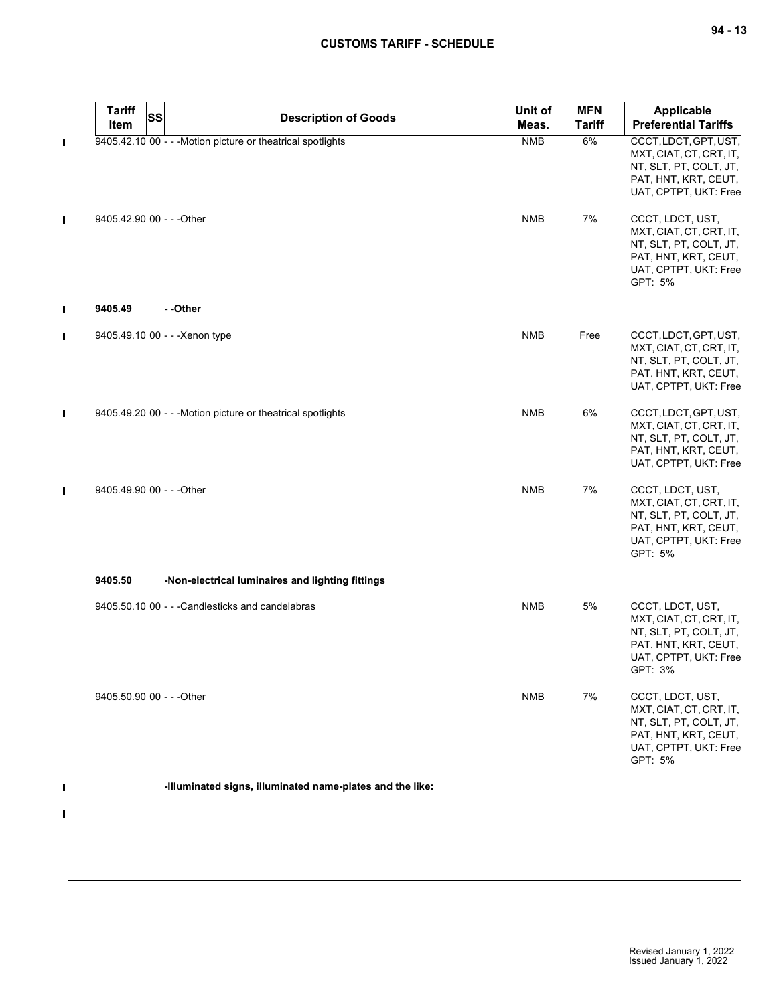|                | <b>Tariff</b><br>SS<br>Item | <b>Description of Goods</b>                                 | Unit of<br>Meas. | <b>MFN</b><br><b>Tariff</b> | Applicable<br><b>Preferential Tariffs</b>                                                                                         |
|----------------|-----------------------------|-------------------------------------------------------------|------------------|-----------------------------|-----------------------------------------------------------------------------------------------------------------------------------|
| П              |                             | 9405.42.10 00 - - - Motion picture or theatrical spotlights | <b>NMB</b>       | 6%                          | CCCT, LDCT, GPT, UST,<br>MXT, CIAT, CT, CRT, IT,<br>NT, SLT, PT, COLT, JT,<br>PAT, HNT, KRT, CEUT,<br>UAT, CPTPT, UKT: Free       |
| П              | 9405.42.90 00 - - - Other   |                                                             | <b>NMB</b>       | 7%                          | CCCT, LDCT, UST,<br>MXT, CIAT, CT, CRT, IT,<br>NT, SLT, PT, COLT, JT,<br>PAT, HNT, KRT, CEUT,<br>UAT, CPTPT, UKT: Free<br>GPT: 5% |
| $\blacksquare$ | 9405.49                     | - -Other                                                    |                  |                             |                                                                                                                                   |
| П              |                             | 9405.49.10 00 - - - Xenon type                              | <b>NMB</b>       | Free                        | CCCT, LDCT, GPT, UST,<br>MXT, CIAT, CT, CRT, IT,<br>NT, SLT, PT, COLT, JT,<br>PAT, HNT, KRT, CEUT,<br>UAT, CPTPT, UKT: Free       |
| П              |                             | 9405.49.20 00 - - - Motion picture or theatrical spotlights | <b>NMB</b>       | 6%                          | CCCT, LDCT, GPT, UST,<br>MXT, CIAT, CT, CRT, IT,<br>NT, SLT, PT, COLT, JT,<br>PAT, HNT, KRT, CEUT,<br>UAT, CPTPT, UKT: Free       |
| П              | 9405.49.90 00 - - - Other   |                                                             | <b>NMB</b>       | 7%                          | CCCT, LDCT, UST,<br>MXT, CIAT, CT, CRT, IT,<br>NT, SLT, PT, COLT, JT,<br>PAT, HNT, KRT, CEUT,<br>UAT, CPTPT, UKT: Free<br>GPT: 5% |
|                | 9405.50                     | -Non-electrical luminaires and lighting fittings            |                  |                             |                                                                                                                                   |
|                |                             | 9405.50.10 00 - - - Candlesticks and candelabras            | <b>NMB</b>       | 5%                          | CCCT, LDCT, UST,<br>MXT, CIAT, CT, CRT, IT,<br>NT, SLT, PT, COLT, JT,<br>PAT, HNT, KRT, CEUT,<br>UAT, CPTPT, UKT: Free<br>GPT: 3% |
|                | 9405.50.90 00 - - - Other   |                                                             | <b>NMB</b>       | 7%                          | CCCT, LDCT, UST,<br>MXT, CIAT, CT, CRT, IT,<br>NT, SLT, PT, COLT, JT,<br>PAT, HNT, KRT, CEUT,<br>UAT, CPTPT, UKT: Free<br>GPT: 5% |
|                |                             | -Illuminated signs, illuminated name-plates and the like:   |                  |                             |                                                                                                                                   |

 $\mathbf{I}$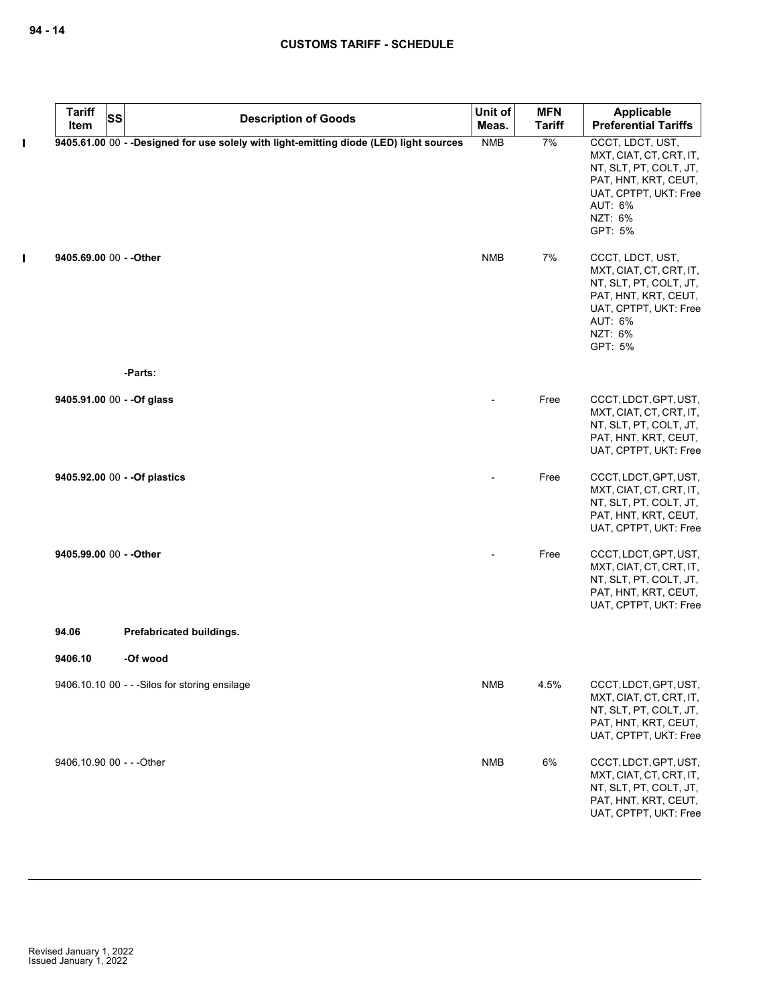| <b>Tariff</b><br>Item       | <b>SS</b> | <b>Description of Goods</b>                                                             | Unit of<br>Meas. | <b>MFN</b><br><b>Tariff</b> | Applicable<br><b>Preferential Tariffs</b>                                                                                                               |
|-----------------------------|-----------|-----------------------------------------------------------------------------------------|------------------|-----------------------------|---------------------------------------------------------------------------------------------------------------------------------------------------------|
|                             |           | 9405.61.00 00 - - Designed for use solely with light-emitting diode (LED) light sources | <b>NMB</b>       | 7%                          | CCCT, LDCT, UST,                                                                                                                                        |
|                             |           |                                                                                         |                  |                             | MXT, CIAT, CT, CRT, IT,<br>NT, SLT, PT, COLT, JT,<br>PAT, HNT, KRT, CEUT,<br>UAT, CPTPT, UKT: Free<br>AUT: 6%<br>NZT: 6%<br>GPT: 5%                     |
| 9405.69.00 00 - - Other     |           |                                                                                         | <b>NMB</b>       | 7%                          | CCCT, LDCT, UST,<br>MXT, CIAT, CT, CRT, IT,<br>NT, SLT, PT, COLT, JT,<br>PAT, HNT, KRT, CEUT,<br>UAT, CPTPT, UKT: Free<br>AUT: 6%<br>NZT: 6%<br>GPT: 5% |
|                             |           | -Parts:                                                                                 |                  |                             |                                                                                                                                                         |
| 9405.91.00 $00 -$ -Of glass |           |                                                                                         |                  | Free                        | CCCT, LDCT, GPT, UST,<br>MXT, CIAT, CT, CRT, IT,<br>NT, SLT, PT, COLT, JT,<br>PAT, HNT, KRT, CEUT,<br>UAT, CPTPT, UKT: Free                             |
|                             |           | 9405.92.00 00 - - Of plastics                                                           |                  | Free                        | CCCT, LDCT, GPT, UST,<br>MXT, CIAT, CT, CRT, IT,<br>NT, SLT, PT, COLT, JT,<br>PAT, HNT, KRT, CEUT,<br>UAT, CPTPT, UKT: Free                             |
| 9405.99.00 00 - - Other     |           |                                                                                         |                  | Free                        | CCCT, LDCT, GPT, UST,<br>MXT, CIAT, CT, CRT, IT,<br>NT, SLT, PT, COLT, JT,<br>PAT, HNT, KRT, CEUT,<br>UAT, CPTPT, UKT: Free                             |
| 94.06                       |           | Prefabricated buildings.                                                                |                  |                             |                                                                                                                                                         |
| 9406.10                     |           | -Of wood                                                                                |                  |                             |                                                                                                                                                         |
|                             |           | 9406.10.10 00 - - - Silos for storing ensilage                                          | <b>NMB</b>       | 4.5%                        | CCCT, LDCT, GPT, UST,<br>MXT, CIAT, CT, CRT, IT,<br>NT, SLT, PT, COLT, JT,<br>PAT, HNT, KRT, CEUT,<br>UAT, CPTPT, UKT: Free                             |
| 9406.10.90 00 - - - Other   |           |                                                                                         | <b>NMB</b>       | 6%                          | CCCT, LDCT, GPT, UST,<br>MXT, CIAT, CT, CRT, IT,<br>NT, SLT, PT, COLT, JT,<br>PAT, HNT, KRT, CEUT,<br>UAT, CPTPT, UKT: Free                             |